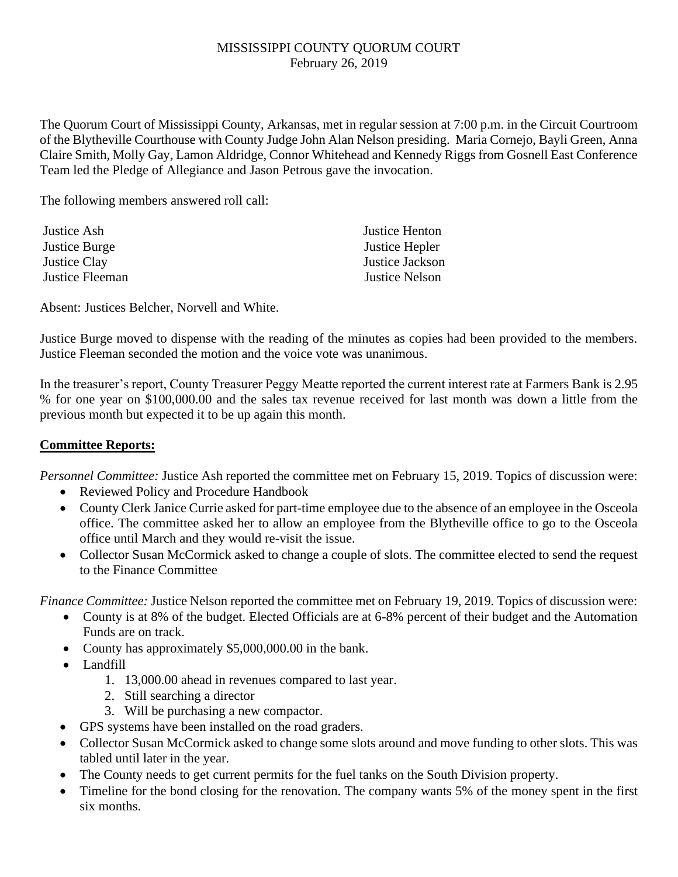## MISSISSIPPI COUNTY QUORUM COURT February 26, 2019

The Quorum Court of Mississippi County, Arkansas, met in regular session at 7:00 p.m. in the Circuit Courtroom of the Blytheville Courthouse with County Judge John Alan Nelson presiding. Maria Cornejo, Bayli Green, Anna Claire Smith, Molly Gay, Lamon Aldridge, Connor Whitehead and Kennedy Riggs from Gosnell East Conference Team led the Pledge of Allegiance and Jason Petrous gave the invocation.

The following members answered roll call:

| Justice Henton        |
|-----------------------|
| Justice Hepler        |
| Justice Jackson       |
| <b>Justice Nelson</b> |
|                       |

Absent: Justices Belcher, Norvell and White.

Justice Burge moved to dispense with the reading of the minutes as copies had been provided to the members. Justice Fleeman seconded the motion and the voice vote was unanimous.

In the treasurer's report, County Treasurer Peggy Meatte reported the current interest rate at Farmers Bank is 2.95 % for one year on \$100,000.00 and the sales tax revenue received for last month was down a little from the previous month but expected it to be up again this month.

## **Committee Reports:**

*Personnel Committee:* Justice Ash reported the committee met on February 15, 2019. Topics of discussion were:

- Reviewed Policy and Procedure Handbook
- County Clerk Janice Currie asked for part-time employee due to the absence of an employee in the Osceola office. The committee asked her to allow an employee from the Blytheville office to go to the Osceola office until March and they would re-visit the issue.
- Collector Susan McCormick asked to change a couple of slots. The committee elected to send the request to the Finance Committee

*Finance Committee:* Justice Nelson reported the committee met on February 19, 2019. Topics of discussion were:

- County is at 8% of the budget. Elected Officials are at 6-8% percent of their budget and the Automation Funds are on track.
- County has approximately \$5,000,000.00 in the bank.
- Landfill
	- 1. 13,000.00 ahead in revenues compared to last year.
	- 2. Still searching a director
	- 3. Will be purchasing a new compactor.
- GPS systems have been installed on the road graders.
- Collector Susan McCormick asked to change some slots around and move funding to other slots. This was tabled until later in the year.
- The County needs to get current permits for the fuel tanks on the South Division property.
- Timeline for the bond closing for the renovation. The company wants 5% of the money spent in the first six months.